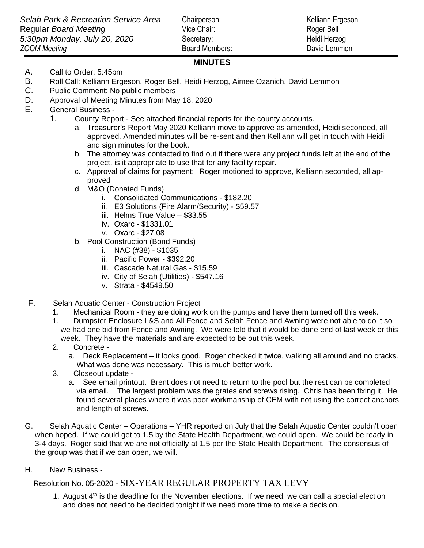*Z* Board Members: David Lemmon

## **MINUTES**

- A. Call to Order: 5:45pm
- B. Roll Call: Kelliann Ergeson, Roger Bell, Heidi Herzog, Aimee Ozanich, David Lemmon
- C. Public Comment: No public members
- D. Approval of Meeting Minutes from May 18, 2020
- E. General Business
	- 1. County Report See attached financial reports for the county accounts.
		- a. Treasurer's Report May 2020 Kelliann move to approve as amended, Heidi seconded, all approved. Amended minutes will be re-sent and then Kelliann will get in touch with Heidi and sign minutes for the book.
		- b. The attorney was contacted to find out if there were any project funds left at the end of the project, is it appropriate to use that for any facility repair.
		- c. Approval of claims for payment: Roger motioned to approve, Kelliann seconded, all approved
		- d. M&O (Donated Funds)
			- i. Consolidated Communications \$182.20
			- ii. E3 Solutions (Fire Alarm/Security) \$59.57
			- iii. Helms True Value \$33.55
			- iv. Oxarc \$1331.01
			- v. Oxarc \$27.08
		- b. Pool Construction (Bond Funds)
			- i. NAC (#38) \$1035
			- ii. Pacific Power \$392.20
			- iii. Cascade Natural Gas \$15.59
			- iv. City of Selah (Utilities) \$547.16
			- v. Strata \$4549.50
- F. Selah Aquatic Center Construction Project
	- 1. Mechanical Room they are doing work on the pumps and have them turned off this week.
	- 1. Dumpster Enclosure L&S and All Fence and Selah Fence and Awning were not able to do it so we had one bid from Fence and Awning. We were told that it would be done end of last week or this week. They have the materials and are expected to be out this week.
	- 2. Concrete
		- a. Deck Replacement it looks good. Roger checked it twice, walking all around and no cracks. What was done was necessary. This is much better work.
	- 3. Closeout update
		- a. See email printout. Brent does not need to return to the pool but the rest can be completed via email. The largest problem was the grates and screws rising. Chris has been fixing it. He found several places where it was poor workmanship of CEM with not using the correct anchors and length of screws.
- G. Selah Aquatic Center Operations YHR reported on July that the Selah Aquatic Center couldn't open when hoped. If we could get to 1.5 by the State Health Department, we could open. We could be ready in 3-4 days. Roger said that we are not officially at 1.5 per the State Health Department. The consensus of the group was that if we can open, we will.
- H. New Business -

Resolution No. 05-2020 - SIX-YEAR REGULAR PROPERTY TAX LEVY

1. August  $4<sup>th</sup>$  is the deadline for the November elections. If we need, we can call a special election and does not need to be decided tonight if we need more time to make a decision.